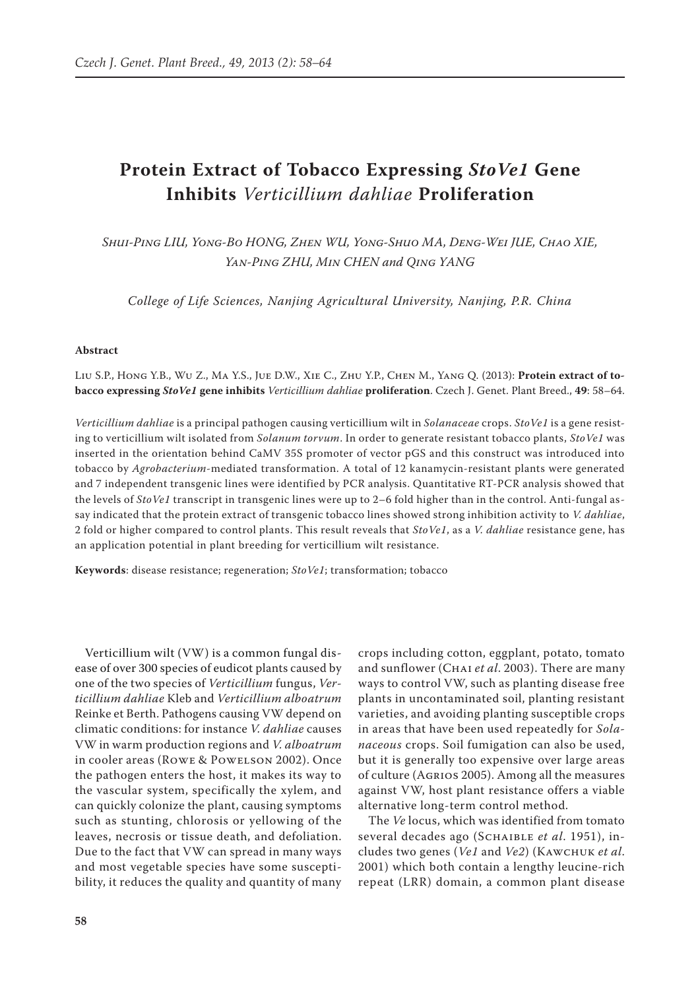# **Protein Extract of Tobacco Expressing** *StoVe1* **Gene Inhibits** *Verticillium dahliae* **Proliferation**

*Shui-Ping LIU, Yong-Bo HONG, Zhen WU, Yong-Shuo MA, Deng-Wei JUE, Chao XIE, Yan-Ping ZHU, Min CHEN and Qing YANG*

*College of Life Sciences, Nanjing Agricultural University, Nanjing, P.R. China*

#### **Abstract**

Liu S.P., Hong Y.B., Wu Z., Ma Y.S., Jue D.W., Xie C., Zhu Y.P., Chen M., Yang Q. (2013): **Protein extract of tobacco expressing** *StoVe1* **gene inhibits** *Verticillium dahliae* **proliferation**. Czech J. Genet. Plant Breed., **49**: 58–64.

*Verticillium dahliae* is a principal pathogen causing verticillium wilt in *Solanaceae* crops. *StoVe1* is a gene resisting to verticillium wilt isolated from *Solanum torvum*. In order to generate resistant tobacco plants, *StoVe1* was inserted in the orientation behind CaMV 35S promoter of vector pGS and this construct was introduced into tobacco by *Agrobacterium*-mediated transformation. A total of 12 kanamycin-resistant plants were generated and 7 independent transgenic lines were identified by PCR analysis. Quantitative RT-PCR analysis showed that the levels of *StoVe1* transcript in transgenic lines were up to 2–6 fold higher than in the control. Anti-fungal assay indicated that the protein extract of transgenic tobacco lines showed strong inhibition activity to *V. dahliae*, 2 fold or higher compared to control plants. This result reveals that *StoVe1*, as a *V. dahliae* resistance gene, has an application potential in plant breeding for verticillium wilt resistance.

**Keywords**: disease resistance; regeneration; *StoVe1*; transformation; tobacco

Verticillium wilt (VW) is a common fungal disease of over 300 species of eudicot plants caused by one of the two species of *Verticillium* fungus, *Verticillium dahliae* Kleb and *Verticillium alboatrum* Reinke et Berth. Pathogens causing VW depend on climatic conditions: for instance *V. dahliae* causes VW in warm production regions and *V. alboatrum* in cooler areas (Rowe & Powelson 2002). Once the pathogen enters the host, it makes its way to the vascular system, specifically the xylem, and can quickly colonize the plant, causing symptoms such as stunting, chlorosis or yellowing of the leaves, necrosis or tissue death, and defoliation. Due to the fact that VW can spread in many ways and most vegetable species have some susceptibility, it reduces the quality and quantity of many

crops including cotton, eggplant, potato, tomato and sunflower (Chai *et al*. 2003). There are many ways to control VW, such as planting disease free plants in uncontaminated soil, planting resistant varieties, and avoiding planting susceptible crops in areas that have been used repeatedly for *Solanaceous* crops. Soil fumigation can also be used, but it is generally too expensive over large areas of culture (Agrios 2005). Among all the measures against VW, host plant resistance offers a viable alternative long-term control method.

The *Ve* locus, which was identified from tomato several decades ago (Schaible *et al*. 1951), includes two genes (*Ve1* and *Ve2*) (Kawchuk *et al*. 2001) which both contain a lengthy leucine-rich repeat (LRR) domain, a common plant disease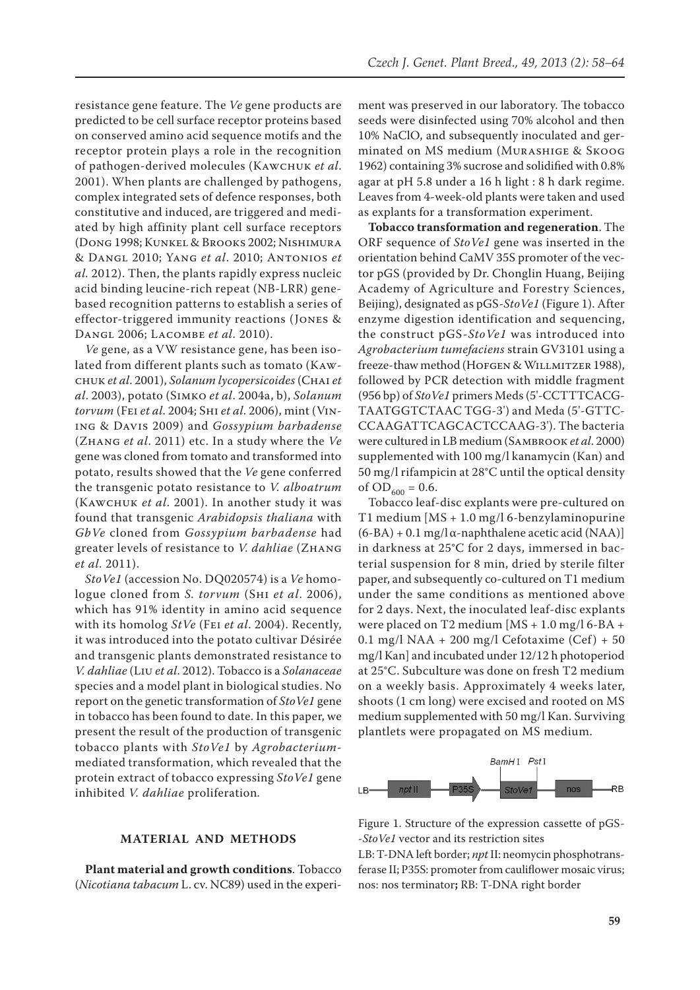resistance gene feature. The *Ve* gene products are predicted to be cell surface receptor proteins based on conserved amino acid sequence motifs and the receptor protein plays a role in the recognition of pathogen-derived molecules (Kawchuk *et al*. 2001). When plants are challenged by pathogens, complex integrated sets of defence responses, both constitutive and induced, are triggered and mediated by high affinity plant cell surface receptors (Dong 1998; Kunkel & Brooks 2002; Nishimura & Dangl 2010; Yang *et al*. 2010; Antonios *et al.* 2012). Then, the plants rapidly express nucleic acid binding leucine-rich repeat (NB-LRR) genebased recognition patterns to establish a series of effector-triggered immunity reactions (Jones & Dangl 2006; Lacombe *et al*. 2010).

*Ve* gene, as a VW resistance gene, has been isolated from different plants such as tomato (Kawchuk *et al*. 2001), *Solanum lycopersicoides* (Chai *et al*. 2003), potato (Simko *et al*. 2004a, b), *Solanum torvum* (Fei *et al*. 2004; Shi *et al*. 2006), mint (Vining & Davis 2009) and *Gossypium barbadense* (Zhang *et al*. 2011) etc. In a study where the *Ve*  gene was cloned from tomato and transformed into potato, results showed that the *Ve* gene conferred the transgenic potato resistance to *V. alboatrum* (Kawchuk *et al*. 2001). In another study it was found that transgenic *Arabidopsis thaliana* with *GbVe* cloned from *Gossypium barbadense* had greater levels of resistance to *V. dahliae* (Zhang *et al*. 2011).

*StoVe1* (accession No. DQ020574) is a *Ve* homologue cloned from *S. torvum* (Shi *et al*. 2006), which has 91% identity in amino acid sequence with its homolog *StVe* (Fei *et al*. 2004). Recently, it was introduced into the potato cultivar Désirée and transgenic plants demonstrated resistance to *V. dahliae* (Liu *et al*. 2012). Tobacco is a *Solanaceae* species and a model plant in biological studies. No report on the genetic transformation of *StoVe1* gene in tobacco has been found to date. In this paper, we present the result of the production of transgenic tobacco plants with *StoVe1* by *Agrobacterium*mediated transformation, which revealed that the protein extract of tobacco expressing *StoVe1* gene inhibited *V. dahliae* proliferation*.*

# **MATERIAL AND METHODS**

**Plant material and growth conditions**. Tobacco (*Nicotiana tabacum* L. cv. NC89) used in the experi-

ment was preserved in our laboratory. The tobacco seeds were disinfected using 70% alcohol and then 10% NaClO, and subsequently inoculated and germinated on MS medium (Murashige & Skoog 1962) containing 3% sucrose and solidified with 0.8% agar at pH 5.8 under a 16 h light : 8 h dark regime. Leaves from 4-week-old plants were taken and used as explants for a transformation experiment.

**Tobacco transformation and regeneration**. The ORF sequence of *StoVe1* gene was inserted in the orientation behind CaMV 35S promoter of the vector pGS (provided by Dr. Chonglin Huang, Beijing Academy of Agriculture and Forestry Sciences, Beijing), designated as pGS-*StoVe1* (Figure 1). After enzyme digestion identification and sequencing, the construct pGS-*StoVe1* was introduced into *Agrobacterium tumefaciens* strain GV3101 using a freeze-thaw method (HOFGEN & WILLMITZER 1988), followed by PCR detection with middle fragment (956 bp) of *StoVe1* primers Meds (5'-CCTTTCACG-TAATGGTCTAAC TGG-3') and Meda (5'-GTTC-CCAAGATTCAGCACTCCAAG-3'). The bacteria were cultured in LB medium (Sambrook *et al*. 2000) supplemented with 100 mg/l kanamycin (Kan) and 50 mg/l rifampicin at 28°C until the optical density of  $OD_{600} = 0.6$ .

Tobacco leaf-disc explants were pre-cultured on T1 medium [MS + 1.0 mg/l 6-benzylaminopurine  $(6-BA) + 0.1$  mg/l  $\alpha$ -naphthalene acetic acid (NAA)] in darkness at 25°C for 2 days, immersed in bacterial suspension for 8 min, dried by sterile filter paper, and subsequently co-cultured on T1 medium under the same conditions as mentioned above for 2 days. Next, the inoculated leaf-disc explants were placed on T2 medium [MS + 1.0 mg/l 6-BA + 0.1 mg/l NAA + 200 mg/l Cefotaxime (Cef) + 50 mg/l Kan] and incubated under 12/12 h photoperiod at 25°C. Subculture was done on fresh T2 medium on a weekly basis. Approximately 4 weeks later, shoots (1 cm long) were excised and rooted on MS medium supplemented with 50 mg/l Kan. Surviving plantlets were propagated on MS medium.



Figure 1. Structure of the expression cassette of pGS- -*StoVe1* vector and its restriction sites

LB: T-DNA left border; *npt* II: neomycin phosphotransferase II; P35S: promoter from cauliflower mosaic virus; nos: nos terminator**;** RB: T-DNA right border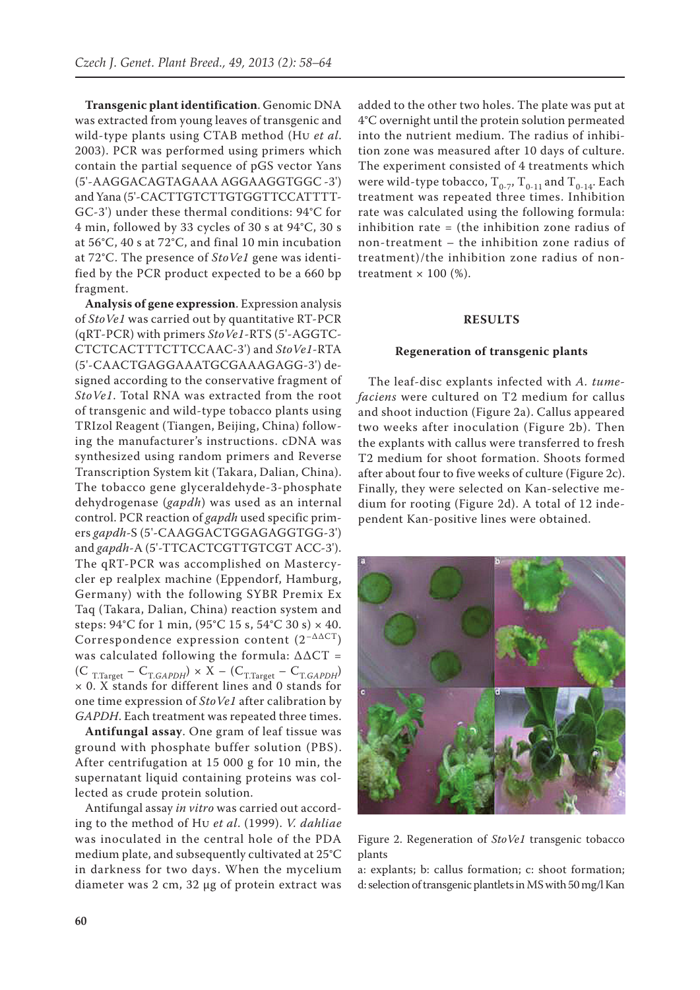**Transgenic plant identification**. Genomic DNA was extracted from young leaves of transgenic and wild-type plants using CTAB method (Hu *et al*. 2003). PCR was performed using primers which contain the partial sequence of pGS vector Yans (5'-AAGGACAGTAGAAA AGGAAGGTGGC -3') and Yana (5'-CACTTGTCTTGTGGTTCCATTTT-GC-3') under these thermal conditions: 94°C for 4 min, followed by 33 cycles of 30 s at 94°C, 30 s at 56°C, 40 s at 72°C, and final 10 min incubation at 72°C. The presence of *StoVe1* gene was identified by the PCR product expected to be a 660 bp fragment.

**Analysis of gene expression**. Expression analysis of *StoVe1* was carried out by quantitative RT-PCR (qRT-PCR) with primers *StoVe1*-RTS (5'-AGGTC-CTCTCACTTTCTTCCAAC-3') and *StoVe1*-RTA (5'-CAACTGAGGAAATGCGAAAGAGG-3') designed according to the conservative fragment of *StoVe1*. Total RNA was extracted from the root of transgenic and wild-type tobacco plants using TRIzol Reagent (Tiangen, Beijing, China) following the manufacturer's instructions. cDNA was synthesized using random primers and Reverse Transcription System kit (Takara, Dalian, China). The tobacco gene glyceraldehyde-3-phosphate dehydrogenase (*gapdh*) was used as an internal control. PCR reaction of *gapdh* used specific primers *gapdh*-S (5'-CAAGGACTGGAGAGGTGG-3') and *gapdh*-A (5'-TTCACTCGTTGTCGT ACC-3'). The qRT-PCR was accomplished on Mastercycler ep realplex machine (Eppendorf, Hamburg, Germany) with the following SYBR Premix Ex Taq (Takara, Dalian, China) reaction system and steps:  $94^{\circ}$ C for 1 min,  $(95^{\circ}$ C 15 s,  $54^{\circ}$ C 30 s)  $\times$  40. Correspondence expression content  $(2^{-\Delta \Delta CT})$ was calculated following the formula: ∆∆CT =  $(C_{T.Target} - C_{T.GAPDH}) \times X - (C_{T.Target} - C_{T.GAPDH})$ × 0. X stands for different lines and 0 stands for one time expression of *StoVe1* after calibration by *GAPDH*. Each treatment was repeated three times.

**Antifungal assay**. One gram of leaf tissue was ground with phosphate buffer solution (PBS). After centrifugation at 15 000 g for 10 min, the supernatant liquid containing proteins was collected as crude protein solution.

Antifungal assay *in vitro* was carried out according to the method of Hu *et al*. (1999). *V. dahliae* was inoculated in the central hole of the PDA medium plate, and subsequently cultivated at 25°C in darkness for two days. When the mycelium diameter was 2 cm, 32 μg of protein extract was

added to the other two holes. The plate was put at 4°C overnight until the protein solution permeated into the nutrient medium. The radius of inhibition zone was measured after 10 days of culture. The experiment consisted of 4 treatments which were wild-type tobacco,  $T_{0-7}$ ,  $T_{0-11}$  and  $T_{0-14}$ . Each treatment was repeated three times. Inhibition rate was calculated using the following formula: inhibition rate = (the inhibition zone radius of non-treatment – the inhibition zone radius of treatment)/the inhibition zone radius of nontreatment  $\times$  100 (%).

#### **RESULTS**

#### **Regeneration of transgenic plants**

The leaf-disc explants infected with *A. tumefaciens* were cultured on T2 medium for callus and shoot induction (Figure 2a). Callus appeared two weeks after inoculation (Figure 2b). Then the explants with callus were transferred to fresh T2 medium for shoot formation. Shoots formed after about four to five weeks of culture (Figure 2c). Finally, they were selected on Kan-selective medium for rooting (Figure 2d). A total of 12 independent Kan-positive lines were obtained.



Figure 2. Regeneration of *StoVe1* transgenic tobacco plants

a: explants; b: callus formation; c: shoot formation; d: selection of transgenic plantlets in MS with 50 mg/l Kan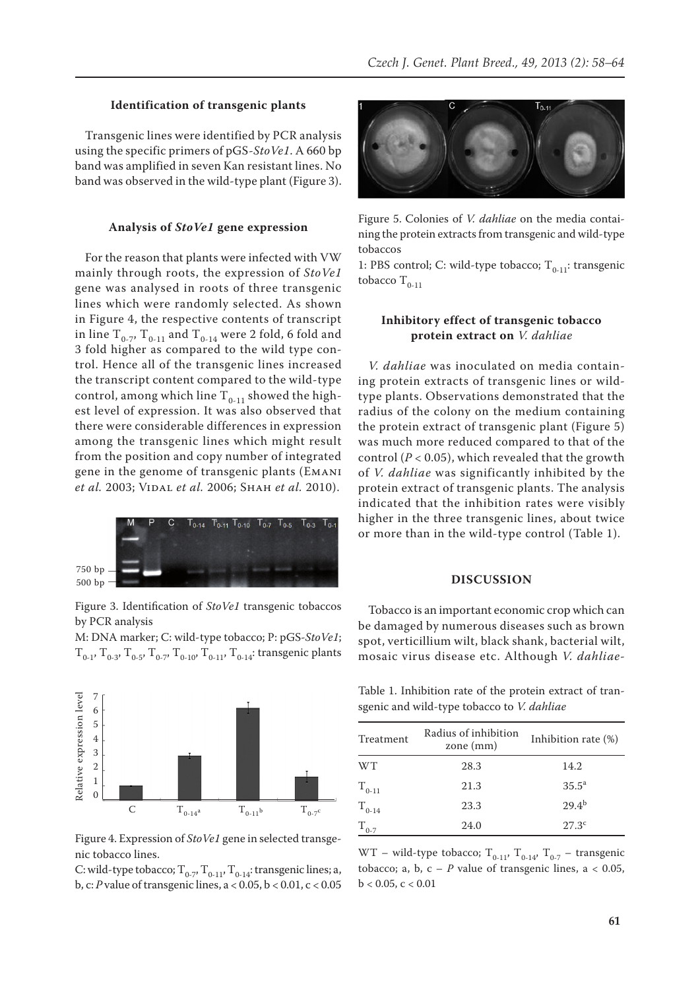## **Identification of transgenic plants**

Transgenic lines were identified by PCR analysis using the specific primers of pGS-*StoVe1*. A 660 bp band was amplified in seven Kan resistant lines. No band was observed in the wild-type plant (Figure 3).

# **Analysis of** *StoVe1* **gene expression**

For the reason that plants were infected with VW mainly through roots, the expression of *StoVe1* gene was analysed in roots of three transgenic lines which were randomly selected. As shown in Figure 4, the respective contents of transcript in line  $T_{0-7}$ ,  $T_{0-11}$  and  $T_{0-14}$  were 2 fold, 6 fold and 3 fold higher as compared to the wild type control. Hence all of the transgenic lines increased the transcript content compared to the wild-type control, among which line  $T_{0-11}$  showed the highest level of expression. It was also observed that there were considerable differences in expression among the transgenic lines which might result from the position and copy number of integrated gene in the genome of transgenic plants (Emani *et al.* 2003; Vidal *et al.* 2006; Shah *et al.* 2010).



Figure 3. Identification of *StoVe1* transgenic tobaccos by PCR analysis

M: DNA marker; C: wild-type tobacco; P: pGS*-StoVe1*;  $T_{0-1}$ ,  $T_{0-3}$ ,  $T_{0-5}$ ,  $T_{0-7}$ ,  $T_{0-10}$ ,  $T_{0-11}$ ,  $T_{0-14}$ : transgenic plants





C: wild-type tobacco;  $T_{0-7}$ ,  $T_{0-11}$ ,  $T_{0-14}$ : transgenic lines; a, b, c: *P* value of transgenic lines, a < 0.05, b < 0.01, c < 0.05



Figure 5. Colonies of *V. dahliae* on the media containing the protein extracts from transgenic and wild-type tobaccos

1: PBS control; C: wild-type tobacco;  $T_{0-11}$ : transgenic tobacco  $T_{0-11}$ 

# **Inhibitory effect of transgenic tobacco protein extract on** *V. dahliae*

*V. dahliae* was inoculated on media containing protein extracts of transgenic lines or wildtype plants. Observations demonstrated that the radius of the colony on the medium containing the protein extract of transgenic plant (Figure 5) was much more reduced compared to that of the control  $(P < 0.05)$ , which revealed that the growth of *V. dahliae* was significantly inhibited by the protein extract of transgenic plants. The analysis indicated that the inhibition rates were visibly higher in the three transgenic lines, about twice or more than in the wild-type control (Table 1).

### **DISCUSSION**

Tobacco is an important economic crop which can be damaged by numerous diseases such as brown spot, verticillium wilt, black shank, bacterial wilt, mosaic virus disease etc. Although *V. dahliae*-

Table 1. Inhibition rate of the protein extract of transgenic and wild-type tobacco to *V. dahliae*

| Treatment  | Radius of inhibition<br>zone $(mm)$ | Inhibition rate (%) |
|------------|-------------------------------------|---------------------|
| <b>WT</b>  | 28.3                                | 14.2                |
| $T_{0-11}$ | 21.3                                | $35.5^{\circ}$      |
| $T_{0-14}$ | 23.3                                | $29.4^{b}$          |
| $T_{0-7}$  | 24.0                                | 27.3 <sup>c</sup>   |

WT – wild-type tobacco;  $T_{0-11}$ ,  $T_{0-14}$ ,  $T_{0-7}$  – transgenic tobacco; a, b,  $c - P$  value of transgenic lines,  $a < 0.05$ ,  $b < 0.05, c < 0.01$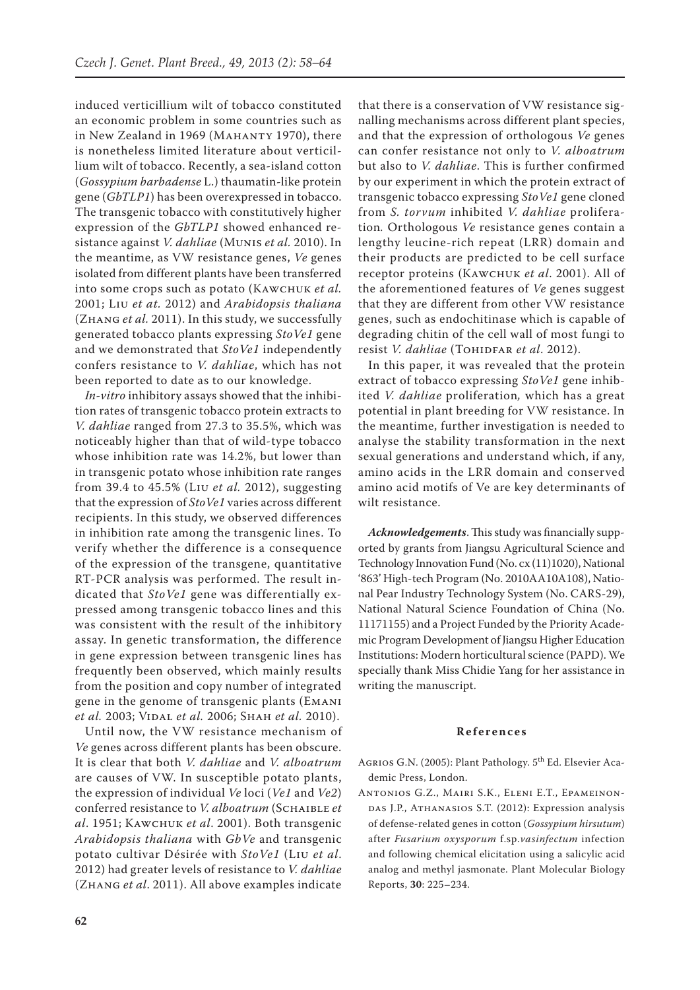induced verticillium wilt of tobacco constituted an economic problem in some countries such as in New Zealand in 1969 (MAHANTY 1970), there is nonetheless limited literature about verticillium wilt of tobacco. Recently, a sea-island cotton (*Gossypium barbadense* L.) thaumatin-like protein gene (*GbTLP1*) has been overexpressed in tobacco. The transgenic tobacco with constitutively higher expression of the *GbTLP1* showed enhanced resistance against *V. dahliae* (Munis *et al.* 2010). In the meantime, as VW resistance genes, *Ve* genes isolated from different plants have been transferred into some crops such as potato (Kawchuk *et al.* 2001; Liu *et at.* 2012) and *Arabidopsis thaliana*  (Zhang *et al.* 2011). In this study, we successfully generated tobacco plants expressing *StoVe1* gene and we demonstrated that *StoVe1* independently confers resistance to *V. dahliae*, which has not been reported to date as to our knowledge.

*In-vitro* inhibitory assays showed that the inhibition rates of transgenic tobacco protein extracts to *V. dahliae* ranged from 27.3 to 35.5%, which was noticeably higher than that of wild-type tobacco whose inhibition rate was 14.2%, but lower than in transgenic potato whose inhibition rate ranges from 39.4 to 45.5% (Liu *et al.* 2012), suggesting that the expression of *StoVe1* varies across different recipients. In this study, we observed differences in inhibition rate among the transgenic lines. To verify whether the difference is a consequence of the expression of the transgene, quantitative RT-PCR analysis was performed. The result indicated that *StoVe1* gene was differentially expressed among transgenic tobacco lines and this was consistent with the result of the inhibitory assay. In genetic transformation, the difference in gene expression between transgenic lines has frequently been observed, which mainly results from the position and copy number of integrated gene in the genome of transgenic plants (Emani *et al.* 2003; Vidal *et al.* 2006; Shah *et al.* 2010).

Until now, the VW resistance mechanism of *Ve* genes across different plants has been obscure. It is clear that both *V. dahliae* and *V. alboatrum* are causes of VW. In susceptible potato plants, the expression of individual *Ve* loci (*Ve1* and *Ve2*) conferred resistance to *V. alboatrum* (Schaible *et al*. 1951; Kawchuk *et al*. 2001). Both transgenic *Arabidopsis thaliana* with *GbVe* and transgenic potato cultivar Désirée with *StoVe1* (Liu *et al*. 2012) had greater levels of resistance to *V. dahliae*  (Zhang *et al*. 2011). All above examples indicate

that there is a conservation of VW resistance signalling mechanisms across different plant species, and that the expression of orthologous *Ve* genes can confer resistance not only to *V. alboatrum*  but also to *V. dahliae*. This is further confirmed by our experiment in which the protein extract of transgenic tobacco expressing *StoVe1* gene cloned from *S. torvum* inhibited *V. dahliae* proliferation*.* Orthologous *Ve* resistance genes contain a lengthy leucine-rich repeat (LRR) domain and their products are predicted to be cell surface receptor proteins (Kawchuk *et al*. 2001). All of the aforementioned features of *Ve* genes suggest that they are different from other VW resistance genes, such as endochitinase which is capable of degrading chitin of the cell wall of most fungi to resist *V. dahliae* (TOHIDFAR et al. 2012).

In this paper, it was revealed that the protein extract of tobacco expressing *StoVe1* gene inhibited *V. dahliae* proliferation*,* which has a great potential in plant breeding for VW resistance. In the meantime, further investigation is needed to analyse the stability transformation in the next sexual generations and understand which, if any, amino acids in the LRR domain and conserved amino acid motifs of Ve are key determinants of wilt resistance.

*Acknowledgements*.This study was financially supported by grants from Jiangsu Agricultural Science and Technology Innovation Fund (No. cx (11)1020), National '863' High-tech Program (No. 2010AA10A108), National Pear Industry Technology System (No. CARS-29), National Natural Science Foundation of China (No. 11171155) and a Project Funded by the Priority Academic Program Development of Jiangsu Higher Education Institutions: Modern horticultural science (PAPD). We specially thank Miss Chidie Yang for her assistance in writing the manuscript.

#### **References**

AGRIOS G.N. (2005): Plant Pathology. 5<sup>th</sup> Ed. Elsevier Academic Press, London.

Antonios G.Z., Mairi S.K., Eleni E.T., Epameinon-DAS J.P., ATHANASIOS S.T. (2012): Expression analysis of defense-related genes in cotton (*Gossypium hirsutum*) after *Fusarium oxysporum* f.sp.*vasinfectum* infection and following chemical elicitation using a salicylic acid analog and methyl jasmonate. Plant Molecular Biology Reports, **30**: 225–234.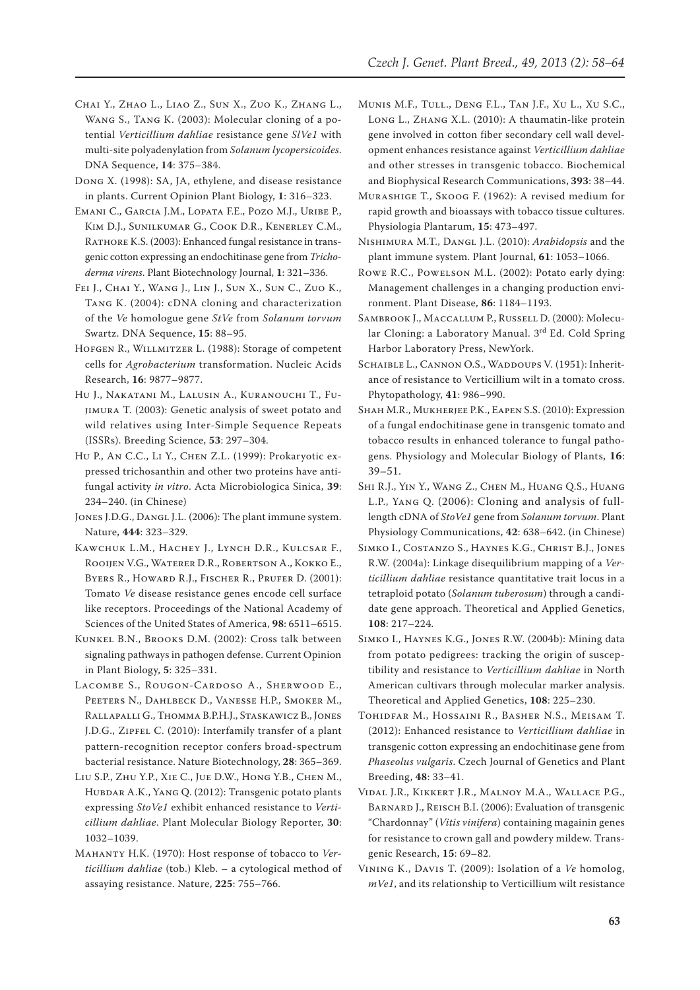- Chai Y., Zhao L., Liao Z., Sun X., Zuo K., Zhang L., Wang S., Tang K. (2003): Molecular cloning of a potential *Verticillium dahliae* resistance gene *SlVe1* with multi-site polyadenylation from *Solanum lycopersicoides*. DNA Sequence, **14**: 375–384.
- Dong X. (1998): SA, JA, ethylene, and disease resistance in plants. Current Opinion Plant Biology, **1**: 316–323.
- Emani C., Garcia J.M., Lopata F.E., Pozo M.J., Uribe P., Kim D.J., Sunilkumar G., Cook D.R., Kenerley C.M., RATHORE K.S. (2003): Enhanced fungal resistance in transgenic cotton expressing an endochitinase gene from *Trichoderma virens*. Plant Biotechnology Journal, **1**: 321–336.
- Fei J., Chai Y., Wang J., Lin J., Sun X., Sun C., Zuo K., Tang K. (2004): cDNA cloning and characterization of the *Ve* homologue gene *StVe* from *Solanum torvum* Swartz. DNA Sequence, **15**: 88–95.
- HOFGEN R., WILLMITZER L. (1988): Storage of competent cells for *Agrobacterium* transformation. Nucleic Acids Research, **16**: 9877–9877.
- Hu J., Nakatani M., Lalusin A., Kuranouchi T., Fujimura T. (2003): Genetic analysis of sweet potato and wild relatives using Inter-Simple Sequence Repeats (ISSRs). Breeding Science, **53**: 297–304.
- Hu P., An C.C., Li Y., Chen Z.L. (1999): Prokaryotic expressed trichosanthin and other two proteins have antifungal activity *in vitro*. Acta Microbiologica Sinica, **39**: 234–240. (in Chinese)
- JONES J.D.G., DANGL J.L. (2006): The plant immune system. Nature, **444**: 323–329.
- Kawchuk L.M., Hachey J., Lynch D.R., Kulcsar F., Rooijen V.G., Waterer D.R., Robertson A., Kokko E., BYERS R., HOWARD R.J., FISCHER R., PRUFER D. (2001): Tomato *Ve* disease resistance genes encode cell surface like receptors. Proceedings of the National Academy of Sciences of the United States of America, **98**: 6511–6515.
- Kunkel B.N., Brooks D.M. (2002): Cross talk between signaling pathways in pathogen defense. Current Opinion in Plant Biology, **5**: 325–331.
- Lacombe S., Rougon-Cardoso A., Sherwood E., Peeters N., Dahlbeck D., Vanesse H.P., Smoker M., Rallapalli G., Thomma B.P.H.J., Staskawicz B., Jones J.D.G., ZIPFEL C. (2010): Interfamily transfer of a plant pattern-recognition receptor confers broad-spectrum bacterial resistance. Nature Biotechnology, **28**: 365–369.
- Liu S.P., Zhu Y.P., Xie C., Jue D.W., Hong Y.B., Chen M., HUBDAR A.K., YANG Q. (2012): Transgenic potato plants expressing *StoVe1* exhibit enhanced resistance to *Verticillium dahliae*. Plant Molecular Biology Reporter, **30**: 1032–1039.
- Mahanty H.K. (1970): Host response of tobacco to *Verticillium dahliae* (tob.) Kleb. – a cytological method of assaying resistance. Nature, **225**: 755–766.
- Munis M.F., Tull., Deng F.L., Tan J.F., Xu L., Xu S.C., Long L., Zhang X.L. (2010): A thaumatin-like protein gene involved in cotton fiber secondary cell wall development enhances resistance against *Verticillium dahliae* and other stresses in transgenic tobacco. Biochemical and Biophysical Research Communications, **393**: 38–44.
- Murashige T., Skoog F. (1962): A revised medium for rapid growth and bioassays with tobacco tissue cultures. Physiologia Plantarum, **15**: 473–497.
- Nishimura M.T., Dangl J.L. (2010): *Arabidopsis* and the plant immune system. Plant Journal, **61**: 1053–1066.
- Rowe R.C., Powelson M.L. (2002): Potato early dying: Management challenges in a changing production environment. Plant Disease, **86**: 1184–1193.
- Sambrook J., Maccallum P., Russell D. (2000): Molecular Cloning: a Laboratory Manual. 3rd Ed. Cold Spring Harbor Laboratory Press, NewYork.
- SCHAIBLE L., CANNON O.S., WADDOUPS V. (1951): Inheritance of resistance to Verticillium wilt in a tomato cross. Phytopathology, **41**: 986–990.
- Shah M.R., Mukherjee P.K., Eapen S.S. (2010): Expression of a fungal endochitinase gene in transgenic tomato and tobacco results in enhanced tolerance to fungal pathogens. Physiology and Molecular Biology of Plants, **16**: 39–51.
- Shi R.J., Yin Y., Wang Z., Chen M., Huang Q.S., Huang L.P., Yang Q. (2006): Cloning and analysis of fulllength cDNA of *StoVe1* gene from *Solanum torvum*. Plant Physiology Communications, **42**: 638–642. (in Chinese)
- Simko I., Costanzo S., Haynes K.G., Christ B.J., Jones R.W. (2004a): Linkage disequilibrium mapping of a *Verticillium dahliae* resistance quantitative trait locus in a tetraploid potato (*Solanum tuberosum*) through a candidate gene approach. Theoretical and Applied Genetics, **108**: 217–224.
- Simko I., Haynes K.G., Jones R.W. (2004b): Mining data from potato pedigrees: tracking the origin of susceptibility and resistance to *Verticillium dahliae* in North American cultivars through molecular marker analysis. Theoretical and Applied Genetics, **108**: 225–230.
- Tohidfar M., Hossaini R., Basher N.S., Meisam T. (2012): Enhanced resistance to *Verticillium dahliae* in transgenic cotton expressing an endochitinase gene from *Phaseolus vulgaris*. Czech Journal of Genetics and Plant Breeding, **48**: 33–41.
- Vidal J.R., Kikkert J.R., Malnoy M.A., Wallace P.G., BARNARD J., REISCH B.I. (2006): Evaluation of transgenic "Chardonnay" (*Vitis vinifera*) containing magainin genes for resistance to crown gall and powdery mildew. Transgenic Research, **15**: 69–82.
- Vining K., Davis T. (2009): Isolation of a *Ve* homolog, *mVe1*, and its relationship to Verticillium wilt resistance